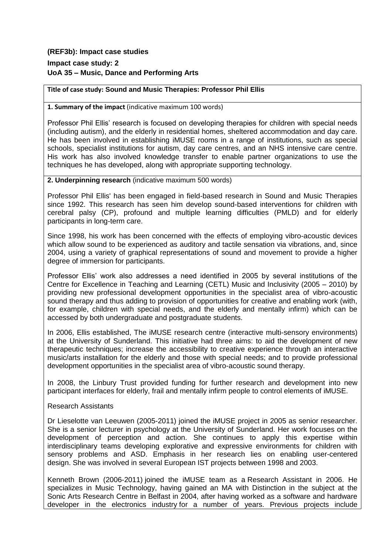## **(REF3b): Impact case studies**

# **Impact case study: 2 UoA 35 – Music, Dance and Performing Arts**

#### **Title of case study: Sound and Music Therapies: Professor Phil Ellis**

#### **1. Summary of the impact** (indicative maximum 100 words)

Professor Phil Ellis' research is focused on developing therapies for children with special needs (including autism), and the elderly in residential homes, sheltered accommodation and day care. He has been involved in establishing iMUSE rooms in a range of institutions, such as special schools, specialist institutions for autism, day care centres, and an NHS intensive care centre. His work has also involved knowledge transfer to enable partner organizations to use the techniques he has developed, along with appropriate supporting technology.

#### **2. Underpinning research** (indicative maximum 500 words)

Professor Phil Ellis' has been engaged in field-based research in Sound and Music Therapies since 1992. This research has seen him develop sound-based interventions for children with cerebral palsy (CP), profound and multiple learning difficulties (PMLD) and for elderly participants in long-term care.

Since 1998, his work has been concerned with the effects of employing vibro-acoustic devices which allow sound to be experienced as auditory and tactile sensation via vibrations, and, since 2004, using a variety of graphical representations of sound and movement to provide a higher degree of immersion for participants.

Professor Ellis' work also addresses a need identified in 2005 by several institutions of the Centre for Excellence in Teaching and Learning (CETL) Music and Inclusivity (2005 – 2010) by providing new professional development opportunities in the specialist area of vibro-acoustic sound therapy and thus adding to provision of opportunities for creative and enabling work (with, for example, children with special needs, and the elderly and mentally infirm) which can be accessed by both undergraduate and postgraduate students.

In 2006, Ellis established, The [iMUSE](http://centres.sunderland.ac.uk/imuse/) research centre (interactive multi-sensory environments) at the University of Sunderland. This initiative had three aims: to aid the development of new therapeutic techniques; increase the accessibility to creative experience through an interactive music/arts installation for the elderly and those with special needs; and to provide professional development opportunities in the specialist area of vibro-acoustic sound therapy.

In 2008, the Linbury Trust provided funding for further research and development into new participant interfaces for elderly, frail and mentally infirm people to control elements of iMUSE.

## Research Assistants

Dr Lieselotte van Leeuwen (2005-2011) joined the iMUSE project in 2005 as senior researcher. She is a senior lecturer in psychology at the University of Sunderland. Her work focuses on the development of perception and action. She continues to apply this expertise within interdisciplinary teams developing explorative and expressive environments for children with sensory problems and ASD. Emphasis in her research lies on enabling user-centered design. She was involved in several European IST projects between 1998 and 2003.

Kenneth Brown (2006-2011) joined the iMUSE team as a Research Assistant in 2006. He specializes in Music Technology, having gained an MA with Distinction in the subject at the Sonic Arts Research Centre in Belfast in 2004, after having worked as a software and hardware developer in the electronics industry for a number of years. Previous projects include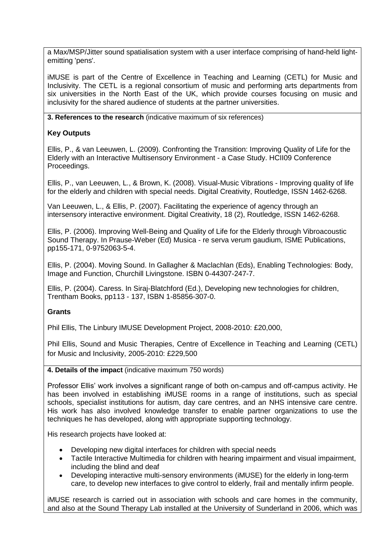a Max/MSP/Jitter sound spatialisation system with a user interface comprising of hand-held lightemitting 'pens'.

iMUSE is part of the Centre of Excellence in Teaching and Learning [\(CETL\) for Music and](http://www.cetl4musicne.ac.uk/)  [Inclusivity.](http://www.cetl4musicne.ac.uk/) The CETL is a regional consortium of music and performing arts departments from six universities in the North East of the UK, which provide courses focusing on music and inclusivity for the shared audience of students at the partner universities.

**3. References to the research** (indicative maximum of six references)

## **Key Outputs**

Ellis, P., & van Leeuwen, L. (2009). Confronting the Transition: Improving Quality of Life for the Elderly with an Interactive Multisensory Environment - a Case Study. HCII09 Conference Proceedings.

Ellis, P., van Leeuwen, L., & Brown, K. (2008). Visual-Music Vibrations - Improving quality of life for the elderly and children with special needs. Digital Creativity, Routledge, ISSN 1462-6268.

Van Leeuwen, L., & Ellis, P. (2007). Facilitating the experience of agency through an intersensory interactive environment. Digital Creativity, 18 (2), Routledge, ISSN 1462-6268.

Ellis, P. (2006). Improving Well-Being and Quality of Life for the Elderly through Vibroacoustic Sound Therapy. In Prause-Weber (Ed) Musica - re serva verum gaudium, ISME Publications, pp155-171, 0-9752063-5-4.

Ellis, P. (2004). Moving Sound. In Gallagher & Maclachlan (Eds), Enabling Technologies: Body, Image and Function, Churchill Livingstone. ISBN 0-44307-247-7.

Ellis, P. (2004). Caress. In Siraj-Blatchford (Ed.), Developing new technologies for children, Trentham Books, pp113 - 137, ISBN 1-85856-307-0.

## **Grants**

Phil Ellis, The Linbury IMUSE Development Project, 2008-2010: £20,000,

Phil Ellis, Sound and Music Therapies, Centre of Excellence in Teaching and Learning [\(CETL\)](http://www.cetl4musicne.ac.uk/)  [for Music and Inclusivity,](http://www.cetl4musicne.ac.uk/) 2005-2010: £229,500

## **4. Details of the impact** (indicative maximum 750 words)

Professor Ellis' work involves a significant range of both on-campus and off-campus activity. He has been involved in establishing iMUSE rooms in a range of institutions, such as special schools, specialist institutions for autism, day care centres, and an NHS intensive care centre. His work has also involved knowledge transfer to enable partner organizations to use the techniques he has developed, along with appropriate supporting technology.

His research projects have looked at:

- Developing new digital interfaces for children with special needs
- Tactile Interactive Multimedia for children with hearing impairment and visual impairment, including the blind and deaf
- Developing interactive multi-sensory environments (iMUSE) for the elderly in long-term care, to develop new interfaces to give control to elderly, frail and mentally infirm people.

iMUSE research is carried out in association with schools and care homes in the community, and also at the Sound Therapy Lab installed at the University of Sunderland in 2006, which was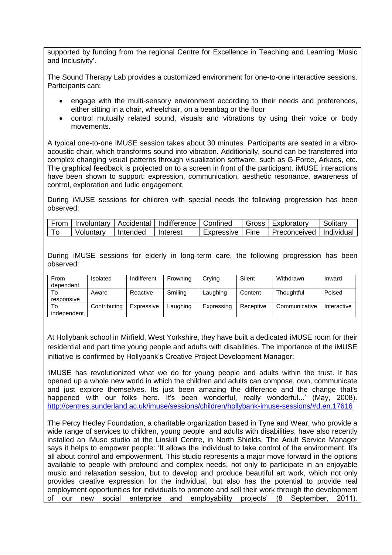supported by funding from the regional [Centre for Excellence in Teaching and Learning 'Music](http://www.cetl4musicne.ac.uk/)  [and Inclusivity'.](http://www.cetl4musicne.ac.uk/)

The Sound Therapy Lab provides a customized environment for one-to-one interactive sessions. Participants can:

- engage with the multi-sensory environment according to their needs and preferences, either sitting in a chair, wheelchair, on a beanbag or the floor
- control mutually related sound, visuals and vibrations by using their voice or body movements.

A typical one-to-one iMUSE session takes about 30 minutes. Participants are seated in a vibroacoustic chair, which transforms sound into vibration. Additionally, sound can be transferred into complex changing visual patterns through visualization software, such as G-Force, Arkaos, etc. The graphical feedback is projected on to a screen in front of the participant. iMUSE interactions have been shown to support: expression, communication, aesthetic resonance, awareness of control, exploration and ludic engagement.

During iMUSE sessions for children with special needs the following progression has been observed:

|           |            | From   Involuntary   Accidental   Indifference   Confined |            |        | Gross   Exploratory       | Solitary |
|-----------|------------|-----------------------------------------------------------|------------|--------|---------------------------|----------|
| Voluntary | l Intended | Interest                                                  | Expressive | ∣ Fine | Preconceived   Individual |          |

During iMUSE sessions for elderly in long-term care, the following progression has been observed:

| From<br>dependent | Isolated     | Indifferent | Frowning | Crying     | Silent    | Withdrawn     | Inward      |
|-------------------|--------------|-------------|----------|------------|-----------|---------------|-------------|
| To<br>responsive  | Aware        | Reactive    | Smiling  | Laughing   | Content   | Thoughtful    | Poised      |
| To<br>independent | Contributing | Expressive  | Laughing | Expressing | Receptive | Communicative | Interactive |

At Hollybank school in Mirfield, West Yorkshire, they have built a dedicated iMUSE room for their residential and part time young people and adults with disabilities. The importance of the iMUSE initiative is confirmed by Hollybank's Creative Project Development Manager:

'iMUSE has revolutionized what we do for young people and adults within the trust. It has opened up a whole new world in which the children and adults can compose, own, communicate and just explore themselves. Its just been amazing the difference and the change that's happened with our folks here. It's been wonderful, really wonderful...' (May, 2008). <http://centres.sunderland.ac.uk/imuse/sessions/children/hollybank-imuse-sessions/#d.en.17616>

The Percy Hedley Foundation, a charitable organization based in Tyne and Wear, who provide a wide range of services to children, young people and adults with disabilities, have also recently installed an iMuse studio at the Linskill Centre, in North Shields. The Adult Service Manager says it helps to empower people: 'It allows the individual to take control of the environment. It's all about control and empowerment. This studio represents a major move forward in the options available to people with profound and complex needs, not only to participate in an enjoyable music and relaxation session, but to develop and produce beautiful art work, which not only provides creative expression for the individual, but also has the potential to provide real employment opportunities for individuals to promote and sell their work through the development of our new social enterprise and employability projects' (8 September, 2011).